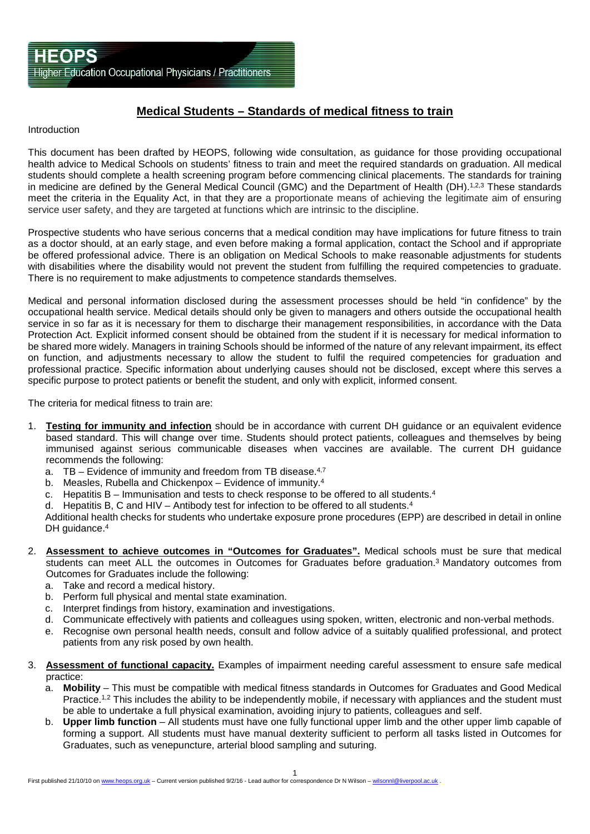## **Medical Students – Standards of medical fitness to train**

## Introduction

This document has been drafted by HEOPS, following wide consultation, as guidance for those providing occupational health advice to Medical Schools on students' fitness to train and meet the required standards on graduation. All medical students should complete a health screening program before commencing clinical placements. The standards for training in medicine are defined by the General Medical Council (GMC) and the Department of Health (DH).<sup>1,2,3</sup> These standards meet the criteria in the Equality Act, in that they are a proportionate means of achieving the legitimate aim of ensuring service user safety, and they are targeted at functions which are intrinsic to the discipline.

Prospective students who have serious concerns that a medical condition may have implications for future fitness to train as a doctor should, at an early stage, and even before making a formal application, contact the School and if appropriate be offered professional advice. There is an obligation on Medical Schools to make reasonable adjustments for students with disabilities where the disability would not prevent the student from fulfilling the required competencies to graduate. There is no requirement to make adjustments to competence standards themselves.

Medical and personal information disclosed during the assessment processes should be held "in confidence" by the occupational health service. Medical details should only be given to managers and others outside the occupational health service in so far as it is necessary for them to discharge their management responsibilities, in accordance with the Data Protection Act. Explicit informed consent should be obtained from the student if it is necessary for medical information to be shared more widely. Managers in training Schools should be informed of the nature of any relevant impairment, its effect on function, and adjustments necessary to allow the student to fulfil the required competencies for graduation and professional practice. Specific information about underlying causes should not be disclosed, except where this serves a specific purpose to protect patients or benefit the student, and only with explicit, informed consent.

The criteria for medical fitness to train are:

- 1. **Testing for immunity and infection** should be in accordance with current DH guidance or an equivalent evidence based standard. This will change over time. Students should protect patients, colleagues and themselves by being immunised against serious communicable diseases when vaccines are available. The current DH guidance recommends the following:
	- a.  $TB$  Evidence of immunity and freedom from TB disease. $4,7$
	- b. Measles, Rubella and Chickenpox Evidence of immunity.<sup>4</sup>
	- c. Hepatitis B Immunisation and tests to check response to be offered to all students.4
	- d. Hepatitis B, C and HIV Antibody test for infection to be offered to all students.<sup>4</sup>

Additional health checks for students who undertake exposure prone procedures (EPP) are described in detail in online DH quidance.<sup>4</sup>

- 2. **Assessment to achieve outcomes in "Outcomes for Graduates".** Medical schools must be sure that medical students can meet ALL the outcomes in Outcomes for Graduates before graduation.3 Mandatory outcomes from Outcomes for Graduates include the following:
	- a. Take and record a medical history.
	- b. Perform full physical and mental state examination.
	- c. Interpret findings from history, examination and investigations.
	- d. Communicate effectively with patients and colleagues using spoken, written, electronic and non-verbal methods.
	- e. Recognise own personal health needs, consult and follow advice of a suitably qualified professional, and protect patients from any risk posed by own health.
- 3. **Assessment of functional capacity.** Examples of impairment needing careful assessment to ensure safe medical practice:
	- a. **Mobility**  This must be compatible with medical fitness standards in Outcomes for Graduates and Good Medical Practice.<sup>1,2</sup> This includes the ability to be independently mobile, if necessary with appliances and the student must be able to undertake a full physical examination, avoiding injury to patients, colleagues and self.
	- b. **Upper limb function** All students must have one fully functional upper limb and the other upper limb capable of forming a support. All students must have manual dexterity sufficient to perform all tasks listed in Outcomes for Graduates, such as venepuncture, arterial blood sampling and suturing.